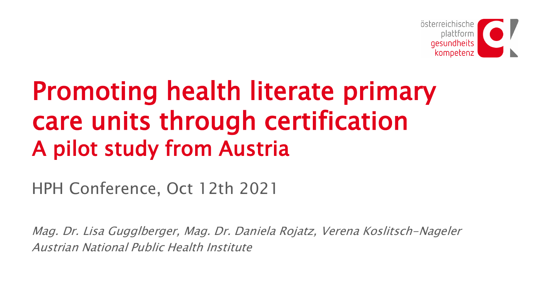

# Promoting health literate primary care units through certification A pilot study from Austria

HPH Conference, Oct 12th 2021

Mag. Dr. Lisa Gugglberger, Mag. Dr. Daniela Rojatz, Verena Koslitsch-Nageler Austrian National Public Health Institute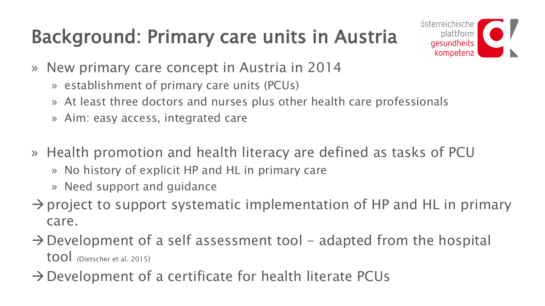### Background: Primary care units in Austria



- » New primary care concept in Austria in 2014
	- » establishment of primary care units (PCUs)
	- » At least three doctors and nurses plus other health care professionals
	- » Aim: easy access, integrated care
- » Health promotion and health literacy are defined as tasks of PCU
	- » No history of explicit HP and HL in primary care
	- » Need support and guidance
- $\rightarrow$  project to support systematic implementation of HP and HL in primary care.
- $\rightarrow$  Development of a self assessment tool adapted from the hospital tool (Dietscher et al. 2015)
- $\rightarrow$  Development of a certificate for health literate PCUs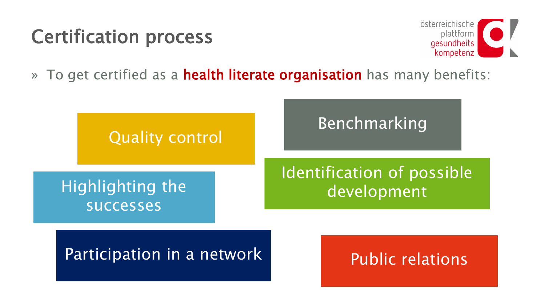### Certification process



» To get certified as a **health literate organisation** has many benefits:

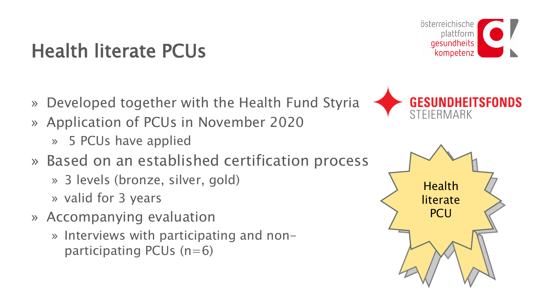### Health literate PCUs

- » Developed together with the Health Fund Styria
- » Application of PCUs in November 2020
	- » 5 PCUs have applied
- » Based on an established certification process
	- » 3 levels (bronze, silver, gold)
	- » valid for 3 years
- » Accompanying evaluation
	- » Interviews with participating and nonparticipating PCUs  $(n=6)$





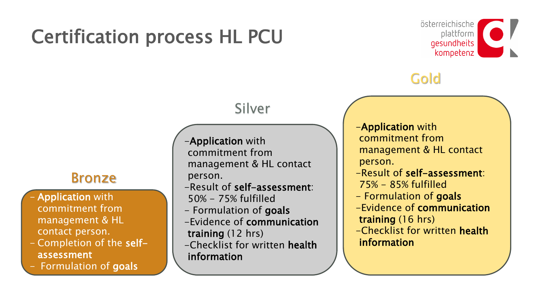### Certification process HL PCU



### Gold

#### Bronze

- **Application with** commitment from management & HL contact person.
- Completion of the selfassessment
- Formulation of goals

-Application with commitment from management & HL contact person.

Silver

- -Result of self-assessment: 50% - 75% fulfilled
- Formulation of goals
- -Evidence of communication training (12 hrs)
- -Checklist for written health information

-Application with commitment from management & HL contact person.

- -Result of self-assessment: 75% - 85% fulfilled
- Formulation of goals
- -Evidence of communication training (16 hrs)
- -Checklist for written health information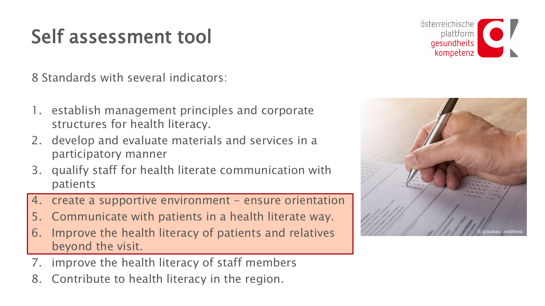### Self assessment tool

8 Standards with several indicators:

- 1. establish management principles and corporate structures for health literacy.
- 2. develop and evaluate materials and services in a participatory manner
- 3. qualify staff for health literate communication with patients
- create a supportive environment ensure orientation
- 5. Communicate with patients in a health literate way.
- 6. Improve the health literacy of patients and relatives beyond the visit.
- 7. improve the health literacy of staff members
- 8. Contribute to health literacy in the region.



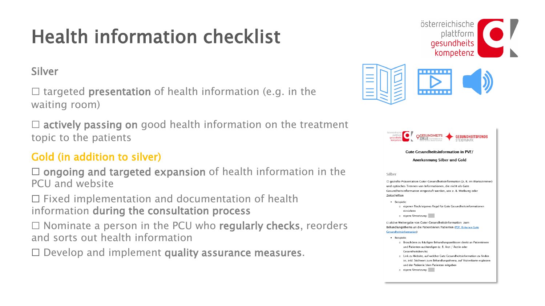## Health information checklist

#### Silver

 $\Box$  targeted **presentation** of health information (e.g. in the waiting room)

 $\Box$  actively passing on good health information on the treatment topic to the patients

#### Gold (in addition to silver)

 $\Box$  ongoing and targeted expansion of health information in the PCU and website

☐ Fixed implementation and documentation of health information during the consultation process

 $\Box$  Nominate a person in the PCU who regularly checks, reorders and sorts out health information

 $\Box$  Develop and implement quality assurance measures.





| österreichische<br>plattform          | <b>FITSFONDS</b><br><b>GES</b>                                                                                                                                                                                                                                                                                                             |
|---------------------------------------|--------------------------------------------------------------------------------------------------------------------------------------------------------------------------------------------------------------------------------------------------------------------------------------------------------------------------------------------|
|                                       | <b>Gute Gesundheitsinformation in PVE/</b>                                                                                                                                                                                                                                                                                                 |
|                                       | Anerkennung Silber und Gold                                                                                                                                                                                                                                                                                                                |
| Silber                                |                                                                                                                                                                                                                                                                                                                                            |
| <b>Zeitschriften</b>                  | $\Box$ gezielte Präsentation Guter Gesundheitsinformation (z. B. im Wartezimmer)<br>und optisches Trennen von Informationen, die nicht als Gute<br>Gesundheitsinformation eingestuft werden, wie z. B. Werbung oder                                                                                                                        |
| Beispiele:<br>٠                       | o eigenen Tisch/eigenes Regal für Gute Gesundheitsinformationen<br>einrichten<br>o eigene Umsetzung:                                                                                                                                                                                                                                       |
| <b>Gesundheitsinformation</b> )       | □ aktive Weitergabe von Guter Gesundheitsinformation zum<br>Behandlungsthema an die Patientinnen/Patienten (PDF: Kriterien Gute                                                                                                                                                                                                            |
| Beispiele:<br>$\bullet$<br>$^{\circ}$ | Broschüren zu häufigen Behandlungsanlässen direkt an Patientinnen<br>und Patienten aushändigen (z. B. Arzt / Ärztin oder<br>Gesundheitsberufe)<br>o Link zu Website, auf welcher Gute Gesundheitsinformation zu finden<br>ist, inkl. Stichwort zum Behandlungsthema, auf Visitenkarte ergänzen<br>und der Patientin/dem Patienten mitgeben |

o eigene Umsetzung: I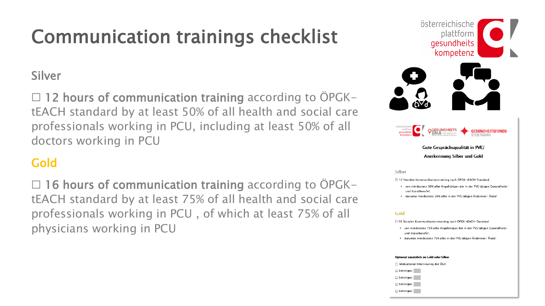### Communication trainings checklist

#### Silver

□ 12 hours of communication training according to ÖPGKtEACH standard by at least 50% of all health and social care professionals working in PCU, including at least 50% of all doctors working in PCU

#### Gold

□ 16 hours of communication training according to ÖPGKtEACH standard by at least 75% of all health and social care professionals working in PCU , of which at least 75% of all physicians working in PCU





Gute Gesprächsqualität in PVE/ Anerkennung Silber und Gold

Silber

□ 12 Stunden Kommunikationstraining nach ÖPGK-tEACH-Standard

- von mindestens 50% aller Angehörigen der in der PVE tätigen Gesundheitsund Sozialherufe)
- darunter mindestens 50% aller in der PVE tätigen Ärztinnen/Ärzte<sup>2</sup>

#### Gold

□ 16 Stunden Kommunikationstraining nach ÖPGK-tEACH-Standard

- . von mindestens 75% aller Angehörigen der in der PVE tätigen Gesundheitsund Sozialberufe<sup>1</sup>
- darunter mindestens 75% aller in der PVE tätigen Ärztinnen/Ärzte<sup>2</sup>

#### Optional zusätzlich zu Gold oder Silbe

□ Motivational Interviewing der ÖGK



Sonstiges:

Sonstiges:

Sonstiges: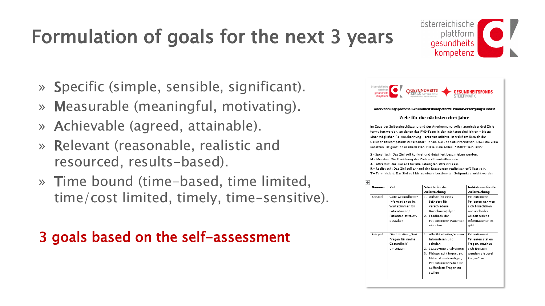## Formulation of goals for the next 3 years

- » Specific (simple, sensible, significant).
- » Measurable (meaningful, motivating).
- » Achievable (agreed, attainable).
- » Relevant (reasonable, realistic and resourced, results-based).
- » Time bound (time-based, time limited, time/cost limited, timely, time-sensitive).

### 3 goals based on the self-assessment



österreichische

plattform gesundheits kompetenz

| Beispiel | Gute Gesundheits-    | 1. Aufstellen eines        | Patientinnen/     |
|----------|----------------------|----------------------------|-------------------|
|          | informationen im     | Ständers für               | Patienten nehmen  |
|          | Wartezimmer für      | verschiedene               | sich Broschüren   |
|          | Patientinnen/        | Broschüren/Flyer           | mit und/oder      |
|          | Patienten attraktiv  | 2. Feedback der            | wissen welche     |
|          | gestalten            | Patientinnen/ Patienten    | Informationen es  |
|          |                      | einholen                   | gibt.             |
|          |                      |                            |                   |
| Beispiel | Die Initiative "Drei | 1. Alle Mitarbeiter/-innen | Patientinnen/     |
|          | Fragen für meine     | informieren und            | Patienten stellen |
|          | Gesundheit"          | schulen                    | Fragen, machen    |
|          | umsetzen             | 2. Status-quo analysieren  | sich Notizen.     |
|          |                      | 3. Plakate aufhängen, ev.  | wenden die "drei  |
|          |                      | Material aushändigen,      | Fragen" an.       |
|          |                      | Patientinnen/Patienten     |                   |
|          |                      | auffordern Fragen zu       |                   |
|          |                      | stellen                    |                   |
|          |                      |                            |                   |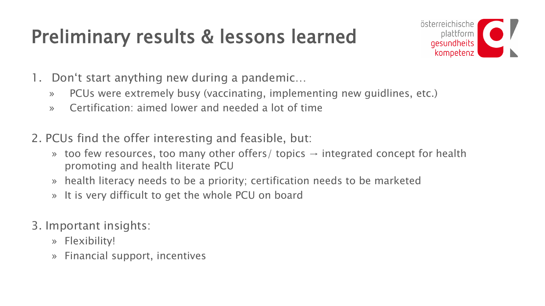### Preliminary results & lessons learned



- 1. Don't start anything new during a pandemic…
	- » PCUs were extremely busy (vaccinating, implementing new guidlines, etc.)
	- » Certification: aimed lower and needed a lot of time
- 2. PCUs find the offer interesting and feasible, but:
	- » too few resources, too many other offers/ topics  $\rightarrow$  integrated concept for health promoting and health literate PCU
	- » health literacy needs to be a priority; certification needs to be marketed
	- » It is very difficult to get the whole PCU on board
- 3. Important insights:
	- » Flexibility!
	- » Financial support, incentives